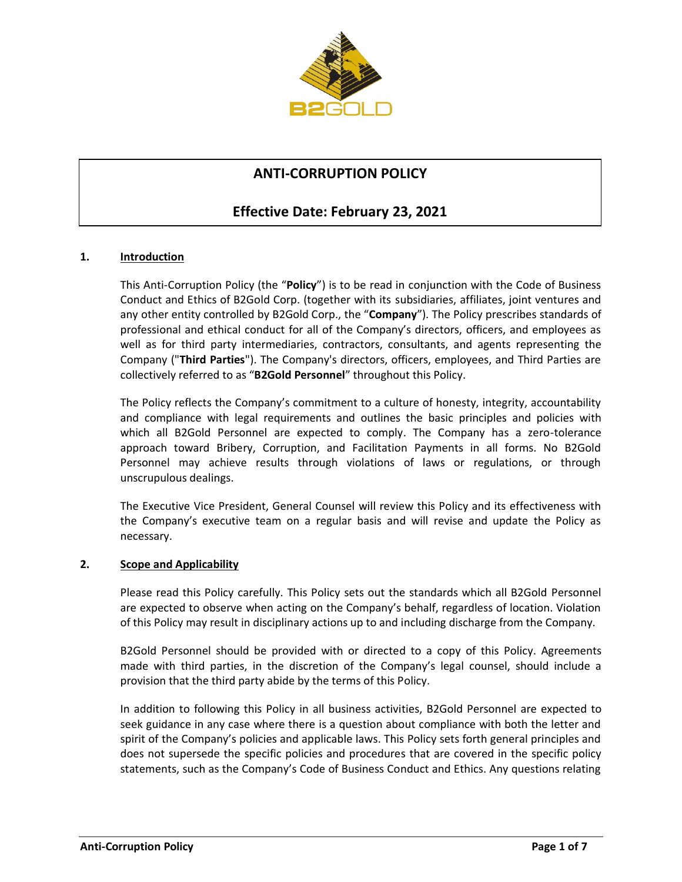

# **ANTI-CORRUPTION POLICY**

# **Effective Date: February 23, 2021**

## **1. Introduction**

This Anti-Corruption Policy (the "**Policy**") is to be read in conjunction with the Code of Business Conduct and Ethics of B2Gold Corp. (together with its subsidiaries, affiliates, joint ventures and any other entity controlled by B2Gold Corp., the "**Company**"). The Policy prescribes standards of professional and ethical conduct for all of the Company's directors, officers, and employees as well as for third party intermediaries, contractors, consultants, and agents representing the Company ("**Third Parties**"). The Company's directors, officers, employees, and Third Parties are collectively referred to as "**B2Gold Personnel**" throughout this Policy.

The Policy reflects the Company's commitment to a culture of honesty, integrity, accountability and compliance with legal requirements and outlines the basic principles and policies with which all B2Gold Personnel are expected to comply. The Company has a zero-tolerance approach toward Bribery, Corruption, and Facilitation Payments in all forms. No B2Gold Personnel may achieve results through violations of laws or regulations, or through unscrupulous dealings.

The Executive Vice President, General Counsel will review this Policy and its effectiveness with the Company's executive team on a regular basis and will revise and update the Policy as necessary.

#### **2. Scope and Applicability**

Please read this Policy carefully. This Policy sets out the standards which all B2Gold Personnel are expected to observe when acting on the Company's behalf, regardless of location. Violation of this Policy may result in disciplinary actions up to and including discharge from the Company.

B2Gold Personnel should be provided with or directed to a copy of this Policy. Agreements made with third parties, in the discretion of the Company's legal counsel, should include a provision that the third party abide by the terms of this Policy.

In addition to following this Policy in all business activities, B2Gold Personnel are expected to seek guidance in any case where there is a question about compliance with both the letter and spirit of the Company's policies and applicable laws. This Policy sets forth general principles and does not supersede the specific policies and procedures that are covered in the specific policy statements, such as the Company's Code of Business Conduct and Ethics. Any questions relating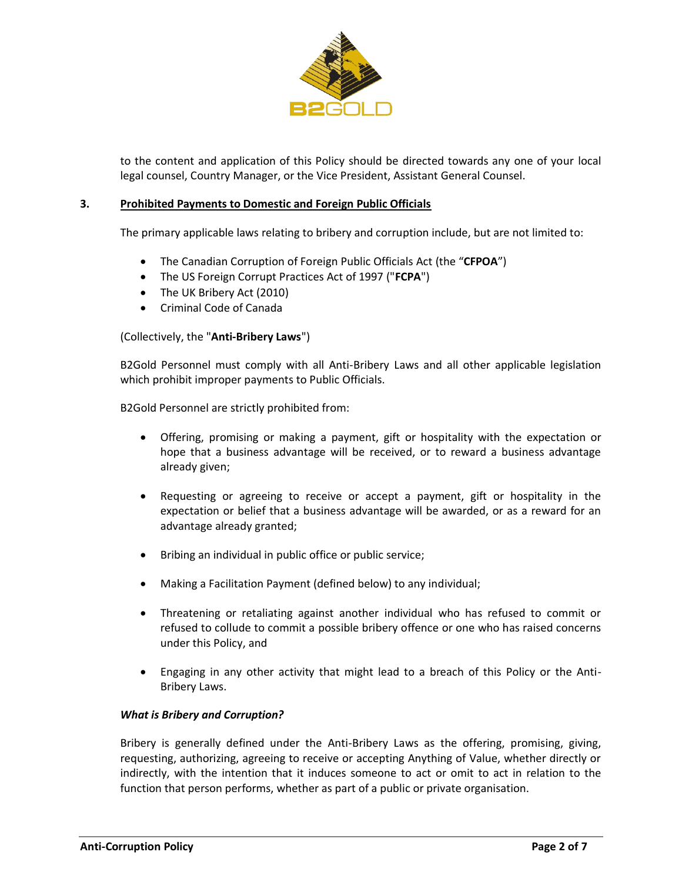

to the content and application of this Policy should be directed towards any one of your local legal counsel, Country Manager, or the Vice President, Assistant General Counsel.

#### **3. Prohibited Payments to Domestic and Foreign Public Officials**

The primary applicable laws relating to bribery and corruption include, but are not limited to:

- The Canadian Corruption of Foreign Public Officials Act (the "**CFPOA**")
- The US Foreign Corrupt Practices Act of 1997 ("**FCPA**")
- The UK Bribery Act (2010)
- Criminal Code of Canada

#### (Collectively, the "**Anti-Bribery Laws**")

B2Gold Personnel must comply with all Anti-Bribery Laws and all other applicable legislation which prohibit improper payments to Public Officials.

B2Gold Personnel are strictly prohibited from:

- Offering, promising or making a payment, gift or hospitality with the expectation or hope that a business advantage will be received, or to reward a business advantage already given;
- Requesting or agreeing to receive or accept a payment, gift or hospitality in the expectation or belief that a business advantage will be awarded, or as a reward for an advantage already granted;
- Bribing an individual in public office or public service;
- Making a Facilitation Payment (defined below) to any individual;
- Threatening or retaliating against another individual who has refused to commit or refused to collude to commit a possible bribery offence or one who has raised concerns under this Policy, and
- Engaging in any other activity that might lead to a breach of this Policy or the Anti-Bribery Laws.

#### *What is Bribery and Corruption?*

Bribery is generally defined under the Anti-Bribery Laws as the offering, promising, giving, requesting, authorizing, agreeing to receive or accepting Anything of Value, whether directly or indirectly, with the intention that it induces someone to act or omit to act in relation to the function that person performs, whether as part of a public or private organisation.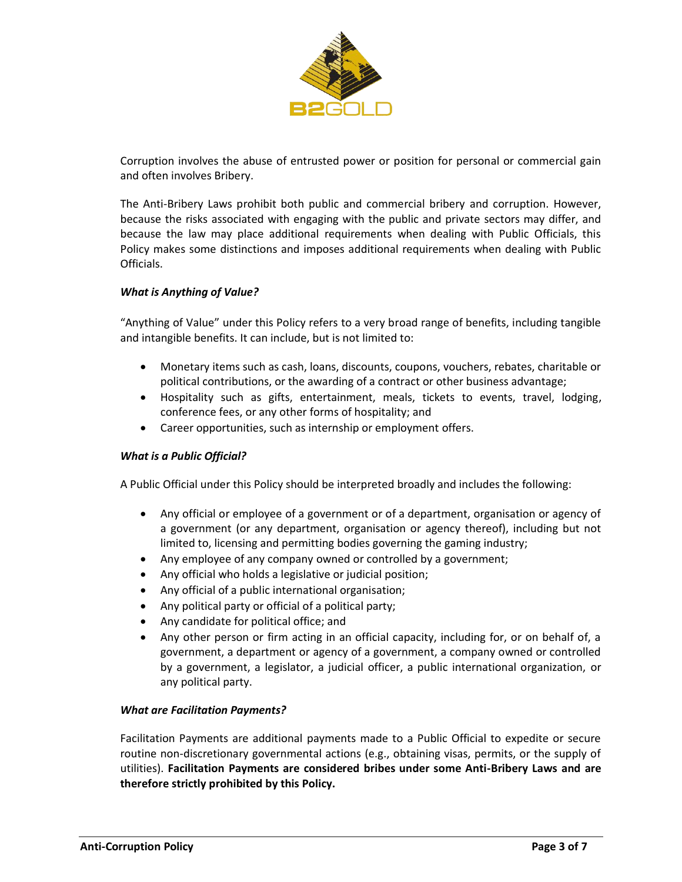

Corruption involves the abuse of entrusted power or position for personal or commercial gain and often involves Bribery.

The Anti-Bribery Laws prohibit both public and commercial bribery and corruption. However, because the risks associated with engaging with the public and private sectors may differ, and because the law may place additional requirements when dealing with Public Officials, this Policy makes some distinctions and imposes additional requirements when dealing with Public Officials.

#### *What is Anything of Value?*

"Anything of Value" under this Policy refers to a very broad range of benefits, including tangible and intangible benefits. It can include, but is not limited to:

- Monetary items such as cash, loans, discounts, coupons, vouchers, rebates, charitable or political contributions, or the awarding of a contract or other business advantage;
- Hospitality such as gifts, entertainment, meals, tickets to events, travel, lodging, conference fees, or any other forms of hospitality; and
- Career opportunities, such as internship or employment offers.

## *What is a Public Official?*

A Public Official under this Policy should be interpreted broadly and includes the following:

- Any official or employee of a government or of a department, organisation or agency of a government (or any department, organisation or agency thereof), including but not limited to, licensing and permitting bodies governing the gaming industry;
- Any employee of any company owned or controlled by a government;
- Any official who holds a legislative or judicial position;
- Any official of a public international organisation;
- Any political party or official of a political party;
- Any candidate for political office; and
- Any other person or firm acting in an official capacity, including for, or on behalf of, a government, a department or agency of a government, a company owned or controlled by a government, a legislator, a judicial officer, a public international organization, or any political party.

#### *What are Facilitation Payments?*

Facilitation Payments are additional payments made to a Public Official to expedite or secure routine non-discretionary governmental actions (e.g., obtaining visas, permits, or the supply of utilities). **Facilitation Payments are considered bribes under some Anti-Bribery Laws and are therefore strictly prohibited by this Policy.**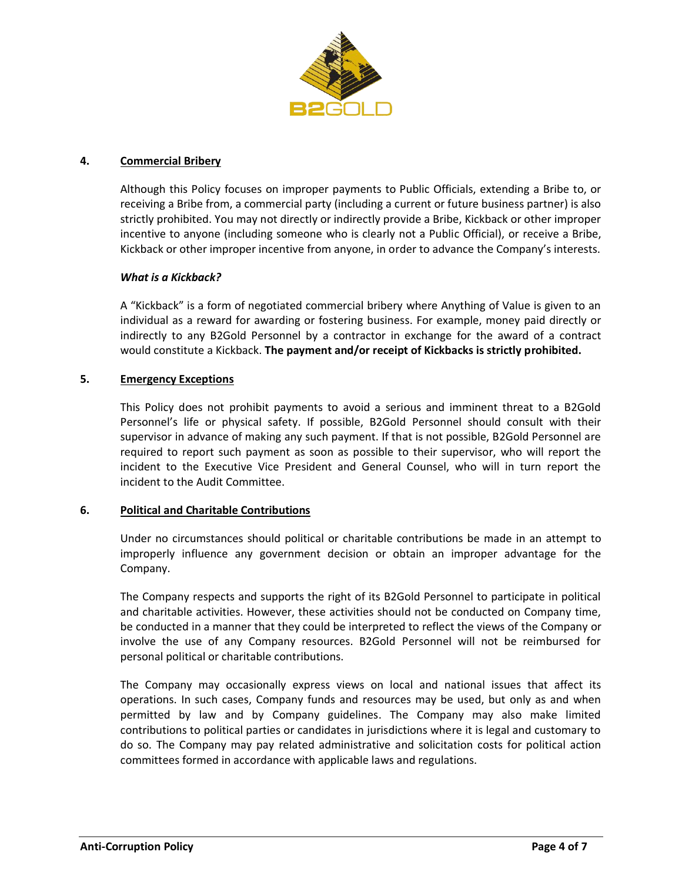

## **4. Commercial Bribery**

Although this Policy focuses on improper payments to Public Officials, extending a Bribe to, or receiving a Bribe from, a commercial party (including a current or future business partner) is also strictly prohibited. You may not directly or indirectly provide a Bribe, Kickback or other improper incentive to anyone (including someone who is clearly not a Public Official), or receive a Bribe, Kickback or other improper incentive from anyone, in order to advance the Company's interests.

#### *What is a Kickback?*

A "Kickback" is a form of negotiated commercial bribery where Anything of Value is given to an individual as a reward for awarding or fostering business. For example, money paid directly or indirectly to any B2Gold Personnel by a contractor in exchange for the award of a contract would constitute a Kickback. **The payment and/or receipt of Kickbacks is strictly prohibited.**

#### **5. Emergency Exceptions**

This Policy does not prohibit payments to avoid a serious and imminent threat to a B2Gold Personnel's life or physical safety. If possible, B2Gold Personnel should consult with their supervisor in advance of making any such payment. If that is not possible, B2Gold Personnel are required to report such payment as soon as possible to their supervisor, who will report the incident to the Executive Vice President and General Counsel, who will in turn report the incident to the Audit Committee.

#### **6. Political and Charitable Contributions**

Under no circumstances should political or charitable contributions be made in an attempt to improperly influence any government decision or obtain an improper advantage for the Company.

The Company respects and supports the right of its B2Gold Personnel to participate in political and charitable activities. However, these activities should not be conducted on Company time, be conducted in a manner that they could be interpreted to reflect the views of the Company or involve the use of any Company resources. B2Gold Personnel will not be reimbursed for personal political or charitable contributions.

The Company may occasionally express views on local and national issues that affect its operations. In such cases, Company funds and resources may be used, but only as and when permitted by law and by Company guidelines. The Company may also make limited contributions to political parties or candidates in jurisdictions where it is legal and customary to do so. The Company may pay related administrative and solicitation costs for political action committees formed in accordance with applicable laws and regulations.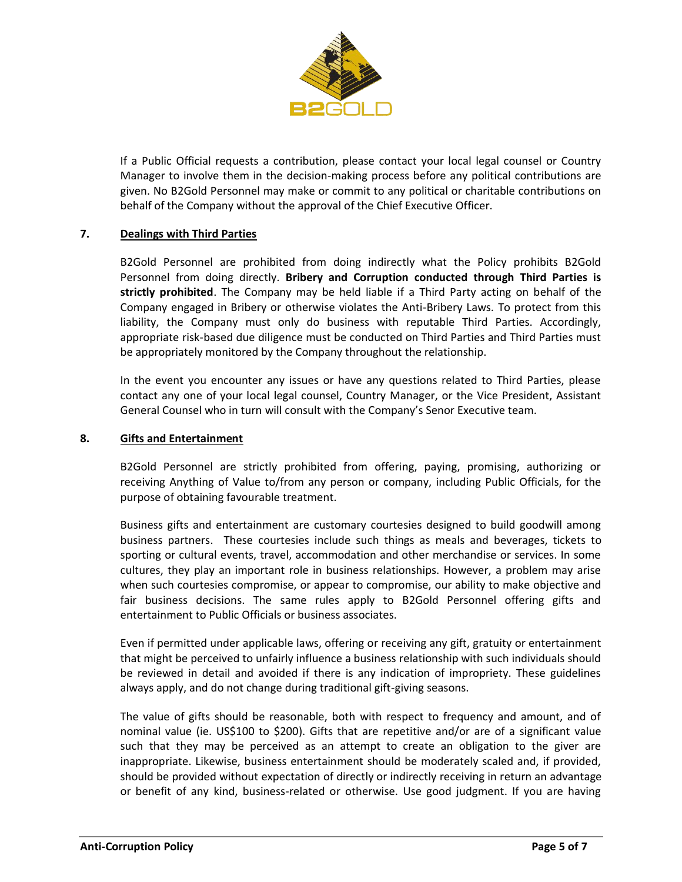

If a Public Official requests a contribution, please contact your local legal counsel or Country Manager to involve them in the decision-making process before any political contributions are given. No B2Gold Personnel may make or commit to any political or charitable contributions on behalf of the Company without the approval of the Chief Executive Officer.

## **7. Dealings with Third Parties**

B2Gold Personnel are prohibited from doing indirectly what the Policy prohibits B2Gold Personnel from doing directly. **Bribery and Corruption conducted through Third Parties is strictly prohibited**. The Company may be held liable if a Third Party acting on behalf of the Company engaged in Bribery or otherwise violates the Anti-Bribery Laws. To protect from this liability, the Company must only do business with reputable Third Parties. Accordingly, appropriate risk-based due diligence must be conducted on Third Parties and Third Parties must be appropriately monitored by the Company throughout the relationship.

In the event you encounter any issues or have any questions related to Third Parties, please contact any one of your local legal counsel, Country Manager, or the Vice President, Assistant General Counsel who in turn will consult with the Company's Senor Executive team.

## **8. Gifts and Entertainment**

B2Gold Personnel are strictly prohibited from offering, paying, promising, authorizing or receiving Anything of Value to/from any person or company, including Public Officials, for the purpose of obtaining favourable treatment.

Business gifts and entertainment are customary courtesies designed to build goodwill among business partners. These courtesies include such things as meals and beverages, tickets to sporting or cultural events, travel, accommodation and other merchandise or services. In some cultures, they play an important role in business relationships. However, a problem may arise when such courtesies compromise, or appear to compromise, our ability to make objective and fair business decisions. The same rules apply to B2Gold Personnel offering gifts and entertainment to Public Officials or business associates.

Even if permitted under applicable laws, offering or receiving any gift, gratuity or entertainment that might be perceived to unfairly influence a business relationship with such individuals should be reviewed in detail and avoided if there is any indication of impropriety. These guidelines always apply, and do not change during traditional gift-giving seasons.

The value of gifts should be reasonable, both with respect to frequency and amount, and of nominal value (ie. US\$100 to \$200). Gifts that are repetitive and/or are of a significant value such that they may be perceived as an attempt to create an obligation to the giver are inappropriate. Likewise, business entertainment should be moderately scaled and, if provided, should be provided without expectation of directly or indirectly receiving in return an advantage or benefit of any kind, business-related or otherwise. Use good judgment. If you are having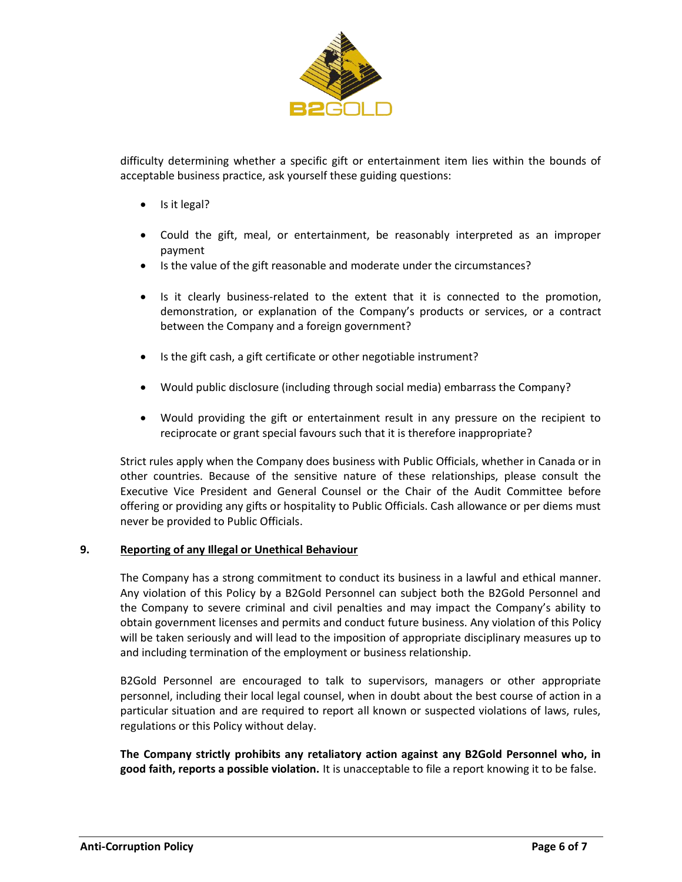

difficulty determining whether a specific gift or entertainment item lies within the bounds of acceptable business practice, ask yourself these guiding questions:

- Is it legal?
- Could the gift, meal, or entertainment, be reasonably interpreted as an improper payment
- Is the value of the gift reasonable and moderate under the circumstances?
- Is it clearly business-related to the extent that it is connected to the promotion, demonstration, or explanation of the Company's products or services, or a contract between the Company and a foreign government?
- Is the gift cash, a gift certificate or other negotiable instrument?
- Would public disclosure (including through social media) embarrass the Company?
- Would providing the gift or entertainment result in any pressure on the recipient to reciprocate or grant special favours such that it is therefore inappropriate?

Strict rules apply when the Company does business with Public Officials, whether in Canada or in other countries. Because of the sensitive nature of these relationships, please consult the Executive Vice President and General Counsel or the Chair of the Audit Committee before offering or providing any gifts or hospitality to Public Officials. Cash allowance or per diems must never be provided to Public Officials.

## **9. Reporting of any Illegal or Unethical Behaviour**

The Company has a strong commitment to conduct its business in a lawful and ethical manner. Any violation of this Policy by a B2Gold Personnel can subject both the B2Gold Personnel and the Company to severe criminal and civil penalties and may impact the Company's ability to obtain government licenses and permits and conduct future business. Any violation of this Policy will be taken seriously and will lead to the imposition of appropriate disciplinary measures up to and including termination of the employment or business relationship.

B2Gold Personnel are encouraged to talk to supervisors, managers or other appropriate personnel, including their local legal counsel, when in doubt about the best course of action in a particular situation and are required to report all known or suspected violations of laws, rules, regulations or this Policy without delay.

**The Company strictly prohibits any retaliatory action against any B2Gold Personnel who, in good faith, reports a possible violation.** It is unacceptable to file a report knowing it to be false.